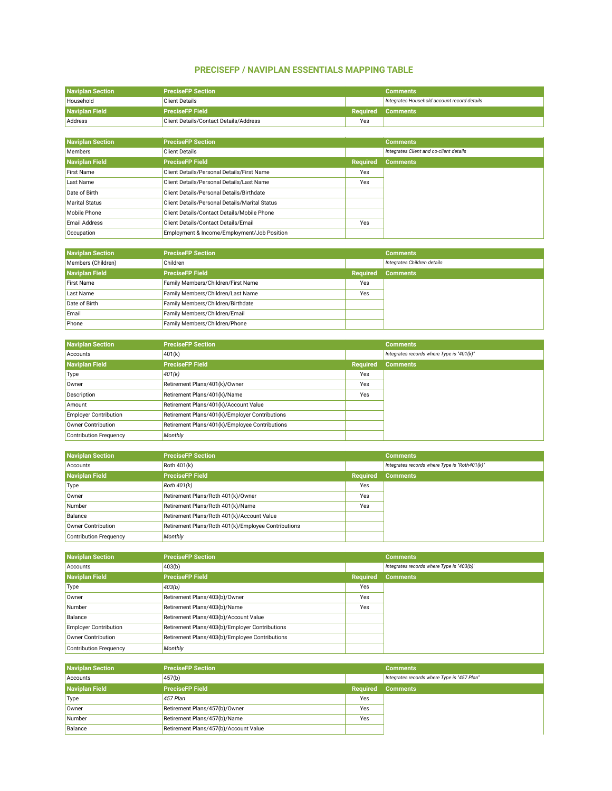## **PRECISEFP / NAVIPLAN ESSENTIALS MAPPING TABLE**

| <b>Naviplan Section</b>             |                                                     |                 |                                                                |
|-------------------------------------|-----------------------------------------------------|-----------------|----------------------------------------------------------------|
| Household                           | <b>PreciseFP Section</b><br><b>Client Details</b>   |                 | <b>Comments</b><br>Integrates Household account record details |
| <b>Naviplan Field</b>               | <b>PreciseFP Field</b>                              | <b>Required</b> | <b>Comments</b>                                                |
| Address                             | Client Details/Contact Details/Address              | Yes             |                                                                |
|                                     |                                                     |                 |                                                                |
| <b>Naviplan Section</b>             | <b>PreciseFP Section</b>                            |                 | <b>Comments</b>                                                |
| Members                             | <b>Client Details</b>                               |                 | Integrates Client and co-client details                        |
| <b>Naviplan Field</b>               | <b>PreciseFP Field</b>                              | <b>Required</b> | <b>Comments</b>                                                |
| <b>First Name</b>                   | Client Details/Personal Details/First Name          | Yes             |                                                                |
| Last Name                           | Client Details/Personal Details/Last Name           | Yes             |                                                                |
| Date of Birth                       | Client Details/Personal Details/Birthdate           |                 |                                                                |
| <b>Marital Status</b>               | Client Details/Personal Details/Marital Status      |                 |                                                                |
| Mobile Phone                        | Client Details/Contact Details/Mobile Phone         |                 |                                                                |
| <b>Email Address</b>                | Client Details/Contact Details/Email                | Yes             |                                                                |
| Occupation                          | Employment & Income/Employment/Job Position         |                 |                                                                |
|                                     |                                                     |                 |                                                                |
| <b>Naviplan Section</b>             | <b>PreciseFP Section</b>                            |                 | <b>Comments</b>                                                |
| Members (Children)                  | Children                                            |                 | Integrates Children details                                    |
| <b>Naviplan Field</b>               | <b>PreciseFP Field</b>                              | <b>Required</b> | <b>Comments</b>                                                |
| <b>First Name</b>                   | Family Members/Children/First Name                  | Yes             |                                                                |
| Last Name                           | Family Members/Children/Last Name                   | Yes             |                                                                |
| Date of Birth                       | Family Members/Children/Birthdate                   |                 |                                                                |
| Email                               | Family Members/Children/Email                       |                 |                                                                |
| Phone                               | Family Members/Children/Phone                       |                 |                                                                |
|                                     |                                                     |                 |                                                                |
| <b>Naviplan Section</b>             | <b>PreciseFP Section</b>                            |                 | <b>Comments</b>                                                |
| Accounts                            | 401(k)                                              |                 | Integrates records where Type is "401(k)"                      |
| <b>Naviplan Field</b>               | <b>PreciseFP Field</b>                              | <b>Required</b> | <b>Comments</b>                                                |
| Type                                | 401(k)                                              | Yes             |                                                                |
| Owner                               | Retirement Plans/401(k)/Owner                       | Yes             |                                                                |
| Description                         | Retirement Plans/401(k)/Name                        | Yes             |                                                                |
| Amount                              | Retirement Plans/401(k)/Account Value               |                 |                                                                |
| <b>Employer Contribution</b>        | Retirement Plans/401(k)/Employer Contributions      |                 |                                                                |
| Owner Contribution                  | Retirement Plans/401(k)/Employee Contributions      |                 |                                                                |
| <b>Contribution Frequency</b>       | Monthly                                             |                 |                                                                |
|                                     |                                                     |                 |                                                                |
| <b>Naviplan Section</b>             | <b>PreciseFP Section</b>                            |                 | <b>Comments</b>                                                |
| Accounts                            | Roth 401(k)                                         |                 | Integrates records where Type is "Roth401(k)"                  |
| <b>Naviplan Field</b>               | <b>PreciseFP Field</b>                              | <b>Required</b> | <b>Comments</b>                                                |
| Type                                | Roth 401(k)                                         | Yes             |                                                                |
| Owner                               | Retirement Plans/Roth 401(k)/Owner                  | Yes             |                                                                |
| Number                              | Retirement Plans/Roth 401(k)/Name                   | Yes             |                                                                |
| Balance                             | Retirement Plans/Roth 401(k)/Account Value          |                 |                                                                |
| <b>Owner Contribution</b>           | Retirement Plans/Roth 401(k)/Employee Contributions |                 |                                                                |
| <b>Contribution Frequency</b>       | Monthly                                             |                 |                                                                |
|                                     | <b>PreciseFP Section</b>                            |                 |                                                                |
| <b>Naviplan Section</b><br>Accounts |                                                     |                 | <b>Comments</b><br>Integrates records where Type is "403(b)"   |
| <b>Naviplan Field</b>               | 403(b)<br><b>PreciseFP Field</b>                    | <b>Required</b> |                                                                |
| Type                                |                                                     | Yes             | <b>Comments</b>                                                |
| Owner                               | 403(b)<br>Retirement Plans/403(b)/Owner             | Yes             |                                                                |
| Number                              | Retirement Plans/403(b)/Name                        | Yes             |                                                                |
| Balance                             | Retirement Plans/403(b)/Account Value               |                 |                                                                |
| <b>Employer Contribution</b>        | Retirement Plans/403(b)/Employer Contributions      |                 |                                                                |
| Owner Contribution                  | Retirement Plans/403(b)/Employee Contributions      |                 |                                                                |
| <b>Contribution Frequency</b>       | Monthly                                             |                 |                                                                |
|                                     |                                                     |                 |                                                                |
| <b>Naviplan Section</b>             | <b>PreciseFP Section</b>                            |                 | <b>Comments</b>                                                |
|                                     |                                                     |                 |                                                                |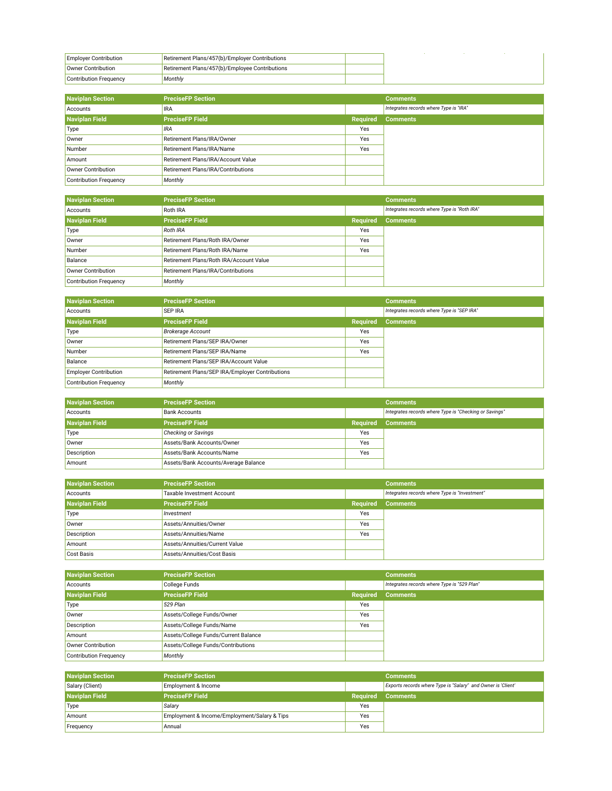| <b>Employer Contribution</b> | Retirement Plans/457(b)/Employer Contributions |  |
|------------------------------|------------------------------------------------|--|
| Owner Contribution           | Retirement Plans/457(b)/Employee Contributions |  |
| Contribution Frequency       | Monthly                                        |  |

| <b>Naviplan Section</b>       | <b>PreciseFP Section</b>           |                 | <b>Comments</b>                        |
|-------------------------------|------------------------------------|-----------------|----------------------------------------|
| Accounts                      | <b>IRA</b>                         |                 | Integrates records where Type is "IRA" |
| <b>Naviplan Field</b>         | <b>PreciseFP Field</b>             | <b>Required</b> | <b>Comments</b>                        |
| Type                          | <b>IRA</b>                         | Yes             |                                        |
| Owner                         | Retirement Plans/IRA/Owner         | Yes             |                                        |
| Number                        | Retirement Plans/IRA/Name          | Yes             |                                        |
| Amount                        | Retirement Plans/IRA/Account Value |                 |                                        |
| Owner Contribution            | Retirement Plans/IRA/Contributions |                 |                                        |
| <b>Contribution Frequency</b> | Monthly                            |                 |                                        |

| <b>Naviplan Section</b>       | <b>PreciseFP Section</b>                |                 | <b>Comments</b>                             |
|-------------------------------|-----------------------------------------|-----------------|---------------------------------------------|
| Accounts                      | <b>Roth IRA</b>                         |                 | Integrates records where Type is "Roth IRA" |
| <b>Naviplan Field</b>         | <b>PreciseFP Field</b>                  | <b>Required</b> | <b>Comments</b>                             |
| Type                          | <b>Roth IRA</b>                         | Yes             |                                             |
| Owner                         | Retirement Plans/Roth IRA/Owner         | Yes             |                                             |
| Number                        | Retirement Plans/Roth IRA/Name          | Yes             |                                             |
| Balance                       | Retirement Plans/Roth IRA/Account Value |                 |                                             |
| Owner Contribution            | Retirement Plans/IRA/Contributions      |                 |                                             |
| <b>Contribution Frequency</b> | Monthly                                 |                 |                                             |

| <b>Naviplan Section</b>      | <b>PreciseFP Section</b>                        |                 | <b>Comments</b>                            |
|------------------------------|-------------------------------------------------|-----------------|--------------------------------------------|
| Accounts                     | <b>SEP IRA</b>                                  |                 | Integrates records where Type is "SEP IRA" |
| <b>Naviplan Field</b>        | <b>PreciseFP Field</b>                          | <b>Required</b> | <b>Comments</b>                            |
| Type                         | <b>Brokerage Account</b>                        | Yes             |                                            |
| Owner                        | Retirement Plans/SEP IRA/Owner                  | Yes             |                                            |
| Number                       | Retirement Plans/SEP IRA/Name                   | Yes             |                                            |
| Balance                      | Retirement Plans/SEP IRA/Account Value          |                 |                                            |
| <b>Employer Contribution</b> | Retirement Plans/SEP IRA/Employer Contributions |                 |                                            |
| Contribution Frequency       | Monthly                                         |                 |                                            |

| <b>Naviplan Section</b> | <b>PreciseFP Section</b>             |                 | <b>Comments</b>                                        |
|-------------------------|--------------------------------------|-----------------|--------------------------------------------------------|
| Accounts                | <b>Bank Accounts</b>                 |                 | Integrates records where Type is "Checking or Savings" |
| <b>Naviplan Field</b>   | <b>PreciseFP Field</b>               | <b>Required</b> | <b>Comments</b>                                        |
| Type                    | <b>Checking or Savings</b>           | Yes             |                                                        |
| Owner                   | Assets/Bank Accounts/Owner           | Yes             |                                                        |
| <b>Description</b>      | Assets/Bank Accounts/Name            | Yes             |                                                        |
| Amount                  | Assets/Bank Accounts/Average Balance |                 |                                                        |

| <b>Naviplan Section</b> | <b>PreciseFP Section</b>       |                 | <b>Comments</b>                               |
|-------------------------|--------------------------------|-----------------|-----------------------------------------------|
| Accounts                | Taxable Investment Account     |                 | Integrates records where Type is "Investment" |
| <b>Naviplan Field</b>   | <b>PreciseFP Field</b>         | <b>Required</b> | <b>Comments</b>                               |
| Type                    | Investment                     | Yes             |                                               |
| Owner                   | Assets/Annuities/Owner         | Yes             |                                               |
| Description             | Assets/Annuities/Name          | Yes             |                                               |
| Amount                  | Assets/Annuities/Current Value |                 |                                               |
| Cost Basis              | Assets/Annuities/Cost Basis    |                 |                                               |

| <b>Naviplan Section</b>       | <b>PreciseFP Section</b>             |                 | <b>Comments</b>                             |
|-------------------------------|--------------------------------------|-----------------|---------------------------------------------|
| Accounts                      | College Funds                        |                 | Integrates records where Type is "529 Plan" |
| <b>Naviplan Field</b>         | <b>PreciseFP Field</b>               | <b>Required</b> | <b>Comments</b>                             |
| Type                          | 529 Plan                             | Yes             |                                             |
| Owner                         | Assets/College Funds/Owner           | Yes             |                                             |
| Description                   | Assets/College Funds/Name            | Yes             |                                             |
| Amount                        | Assets/College Funds/Current Balance |                 |                                             |
| Owner Contribution            | Assets/College Funds/Contributions   |                 |                                             |
| <b>Contribution Frequency</b> | Monthly                              |                 |                                             |

| <b>Naviplan Section</b> | <b>PreciseFP Section</b>                     |          | <b>Comments</b>                                              |
|-------------------------|----------------------------------------------|----------|--------------------------------------------------------------|
| Salary (Client)         | Employment & Income                          |          | Exports records where Type is "Salary" and Owner is 'Client' |
| <b>Naviplan Field</b>   | <b>PreciseFP Field</b>                       | Reauired | <b>Comments</b>                                              |
| Type                    | Salary                                       | Yes      |                                                              |
| Amount                  | Employment & Income/Employment/Salary & Tips | Yes      |                                                              |
| Frequency               | Annual                                       | Yes      |                                                              |